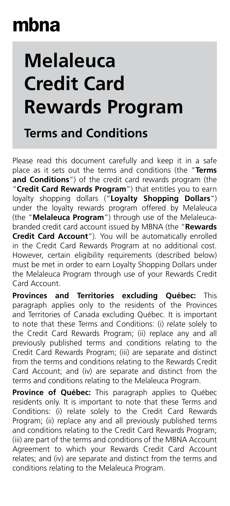## mbna

## **Melaleuca Credit Card Rewards Program**

## **Terms and Conditions**

Please read this document carefully and keep it in a safe place as it sets out the terms and conditions (the "**Terms and Conditions**") of the credit card rewards program (the "**Credit Card Rewards Program**") that entitles you to earn loyalty shopping dollars ("**Loyalty Shopping Dollars**") under the loyalty rewards program offered by Melaleuca (the "**Melaleuca Program**") through use of the Melaleucabranded credit card account issued by MBNA (the "**Rewards Credit Card Account**"). You will be automatically enrolled in the Credit Card Rewards Program at no additional cost. However, certain eligibility requirements (described below) must be met in order to earn Loyalty Shopping Dollars under the Melaleuca Program through use of your Rewards Credit Card Account.

**Provinces and Territories excluding Québec:** This paragraph applies only to the residents of the Provinces and Territories of Canada excluding Québec. It is important to note that these Terms and Conditions: (i) relate solely to the Credit Card Rewards Program; (ii) replace any and all previously published terms and conditions relating to the Credit Card Rewards Program; (iii) are separate and distinct from the terms and conditions relating to the Rewards Credit Card Account; and (iv) are separate and distinct from the terms and conditions relating to the Melaleuca Program.

**Province of Québec:** This paragraph applies to Québec residents only. It is important to note that these Terms and Conditions: (i) relate solely to the Credit Card Rewards Program; (ii) replace any and all previously published terms and conditions relating to the Credit Card Rewards Program; (iii) are part of the terms and conditions of the MBNA Account Agreement to which your Rewards Credit Card Account relates; and (iv) are separate and distinct from the terms and conditions relating to the Melaleuca Program.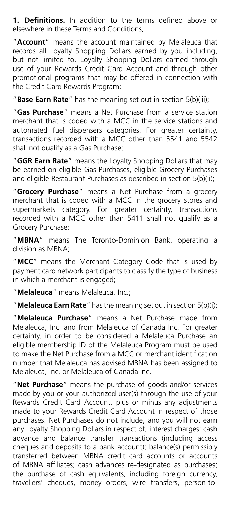**1. Definitions.** In addition to the terms defined above or elsewhere in these Terms and Conditions,

"**Account**" means the account maintained by Melaleuca that records all Loyalty Shopping Dollars earned by you including, but not limited to, Loyalty Shopping Dollars earned through use of your Rewards Credit Card Account and through other promotional programs that may be offered in connection with the Credit Card Rewards Program;

"**Base Earn Rate**" has the meaning set out in section 5(b)(iii);

"**Gas Purchase**" means a Net Purchase from a service station merchant that is coded with a MCC in the service stations and automated fuel dispensers categories. For greater certainty, transactions recorded with a MCC other than 5541 and 5542 shall not qualify as a Gas Purchase;

"**GGR Earn Rate**" means the Loyalty Shopping Dollars that may be earned on eligible Gas Purchases, eligible Grocery Purchases and eligible Restaurant Purchases as described in section 5(b)(ii);

"**Grocery Purchase**" means a Net Purchase from a grocery merchant that is coded with a MCC in the grocery stores and supermarkets category. For greater certainty, transactions recorded with a MCC other than 5411 shall not qualify as a Grocery Purchase;

"**MBNA**" means The Toronto-Dominion Bank, operating a division as MBNA;

"**MCC**" means the Merchant Category Code that is used by payment card network participants to classify the type of business in which a merchant is engaged;

"**Melaleuca**" means Melaleuca, Inc.;

"**Melaleuca Earn Rate**" has the meaning set out in section 5(b)(i);

"**Melaleuca Purchase**" means a Net Purchase made from Melaleuca, Inc. and from Melaleuca of Canada Inc. For greater certainty, in order to be considered a Melaleuca Purchase an eligible membership ID of the Melaleuca Program must be used to make the Net Purchase from a MCC or merchant identification number that Melaleuca has advised MBNA has been assigned to Melaleuca, Inc. or Melaleuca of Canada Inc.

"**Net Purchase**" means the purchase of goods and/or services made by you or your authorized user(s) through the use of your Rewards Credit Card Account, plus or minus any adjustments made to your Rewards Credit Card Account in respect of those purchases. Net Purchases do not include, and you will not earn any Loyalty Shopping Dollars in respect of, interest charges; cash advance and balance transfer transactions (including access cheques and deposits to a bank account); balance(s) permissibly transferred between MBNA credit card accounts or accounts of MBNA affiliates; cash advances re-designated as purchases; the purchase of cash equivalents, including foreign currency, travellers' cheques, money orders, wire transfers, person-to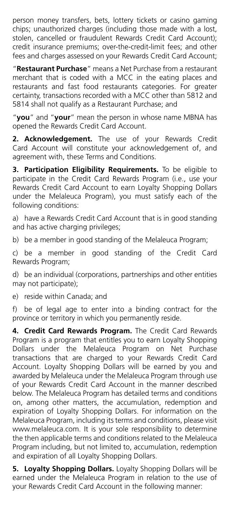person money transfers, bets, lottery tickets or casino gaming chips; unauthorized charges (including those made with a lost, stolen, cancelled or fraudulent Rewards Credit Card Account); credit insurance premiums; over-the-credit-limit fees; and other fees and charges assessed on your Rewards Credit Card Account;

"**Restaurant Purchase**" means a Net Purchase from a restaurant merchant that is coded with a MCC in the eating places and restaurants and fast food restaurants categories. For greater certainty, transactions recorded with a MCC other than 5812 and 5814 shall not qualify as a Restaurant Purchase; and

"**you**" and "**your**" mean the person in whose name MBNA has opened the Rewards Credit Card Account.

**2. Acknowledgement.** The use of your Rewards Credit Card Account will constitute your acknowledgement of, and agreement with, these Terms and Conditions.

**3. Participation Eligibility Requirements.** To be eligible to participate in the Credit Card Rewards Program (i.e., use your Rewards Credit Card Account to earn Loyalty Shopping Dollars under the Melaleuca Program), you must satisfy each of the following conditions:

a) have a Rewards Credit Card Account that is in good standing and has active charging privileges;

b) be a member in good standing of the Melaleuca Program;

c) be a member in good standing of the Credit Card Rewards Program;

d) be an individual (corporations, partnerships and other entities may not participate);

e) reside within Canada; and

f) be of legal age to enter into a binding contract for the province or territory in which you permanently reside.

**4. Credit Card Rewards Program.** The Credit Card Rewards Program is a program that entitles you to earn Loyalty Shopping Dollars under the Melaleuca Program on Net Purchase transactions that are charged to your Rewards Credit Card Account. Loyalty Shopping Dollars will be earned by you and awarded by Melaleuca under the Melaleuca Program through use of your Rewards Credit Card Account in the manner described below. The Melaleuca Program has detailed terms and conditions on, among other matters, the accumulation, redemption and expiration of Loyalty Shopping Dollars. For information on the Melaleuca Program, including its terms and conditions, please visit [www.melaleuca.com.](https://www.melaleuca.com/) It is your sole responsibility to determine the then applicable terms and conditions related to the Melaleuca Program including, but not limited to, accumulation, redemption and expiration of all Loyalty Shopping Dollars.

**5. Loyalty Shopping Dollars.** Loyalty Shopping Dollars will be earned under the Melaleuca Program in relation to the use of your Rewards Credit Card Account in the following manner: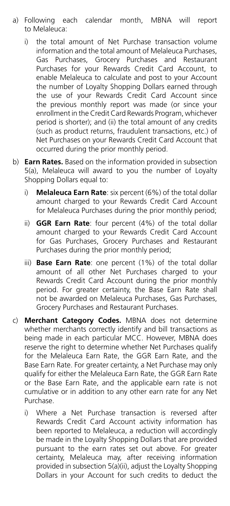- a) Following each calendar month, MBNA will report to Melaleuca:
	- i) the total amount of Net Purchase transaction volume information and the total amount of Melaleuca Purchases, Gas Purchases, Grocery Purchases and Restaurant Purchases for your Rewards Credit Card Account, to enable Melaleuca to calculate and post to your Account the number of Loyalty Shopping Dollars earned through the use of your Rewards Credit Card Account since the previous monthly report was made (or since your enrollment in the Credit Card Rewards Program, whichever period is shorter); and (ii) the total amount of any credits (such as product returns, fraudulent transactions, etc.) of Net Purchases on your Rewards Credit Card Account that occurred during the prior monthly period.
- b) **Earn Rates.** Based on the information provided in subsection 5(a), Melaleuca will award to you the number of Loyalty Shopping Dollars equal to:
	- i) **Melaleuca Earn Rate**: six percent (6%) of the total dollar amount charged to your Rewards Credit Card Account for Melaleuca Purchases during the prior monthly period;
	- ii) **GGR Earn Rate**: four percent (4%) of the total dollar amount charged to your Rewards Credit Card Account for Gas Purchases, Grocery Purchases and Restaurant Purchases during the prior monthly period;
	- iii) **Base Earn Rate**: one percent (1%) of the total dollar amount of all other Net Purchases charged to your Rewards Credit Card Account during the prior monthly period. For greater certainty, the Base Earn Rate shall not be awarded on Melaleuca Purchases, Gas Purchases, Grocery Purchases and Restaurant Purchases.
- c) **Merchant Category Codes.** MBNA does not determine whether merchants correctly identify and bill transactions as being made in each particular MCC. However, MBNA does reserve the right to determine whether Net Purchases qualify for the Melaleuca Earn Rate, the GGR Earn Rate, and the Base Earn Rate. For greater certainty, a Net Purchase may only qualify for either the Melaleuca Earn Rate, the GGR Earn Rate or the Base Earn Rate, and the applicable earn rate is not cumulative or in addition to any other earn rate for any Net Purchase.
	- i) Where a Net Purchase transaction is reversed after Rewards Credit Card Account activity information has been reported to Melaleuca, a reduction will accordingly be made in the Loyalty Shopping Dollars that are provided pursuant to the earn rates set out above. For greater certainty, Melaleuca may, after receiving information provided in subsection 5(a)(ii), adjust the Loyalty Shopping Dollars in your Account for such credits to deduct the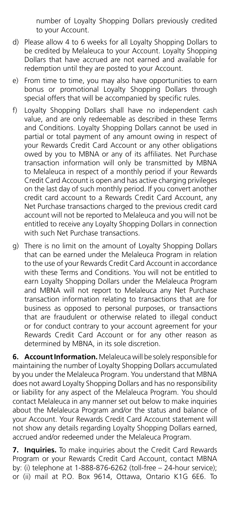number of Loyalty Shopping Dollars previously credited to your Account.

- d) Please allow 4 to 6 weeks for all Loyalty Shopping Dollars to be credited by Melaleuca to your Account. Loyalty Shopping Dollars that have accrued are not earned and available for redemption until they are posted to your Account.
- e) From time to time, you may also have opportunities to earn bonus or promotional Loyalty Shopping Dollars through special offers that will be accompanied by specific rules.
- f) Loyalty Shopping Dollars shall have no independent cash value, and are only redeemable as described in these Terms and Conditions. Loyalty Shopping Dollars cannot be used in partial or total payment of any amount owing in respect of your Rewards Credit Card Account or any other obligations owed by you to MBNA or any of its affiliates. Net Purchase transaction information will only be transmitted by MBNA to Melaleuca in respect of a monthly period if your Rewards Credit Card Account is open and has active charging privileges on the last day of such monthly period. If you convert another credit card account to a Rewards Credit Card Account, any Net Purchase transactions charged to the previous credit card account will not be reported to Melaleuca and you will not be entitled to receive any Loyalty Shopping Dollars in connection with such Net Purchase transactions.
- g) There is no limit on the amount of Loyalty Shopping Dollars that can be earned under the Melaleuca Program in relation to the use of your Rewards Credit Card Account in accordance with these Terms and Conditions. You will not be entitled to earn Loyalty Shopping Dollars under the Melaleuca Program and MBNA will not report to Melaleuca any Net Purchase transaction information relating to transactions that are for business as opposed to personal purposes, or transactions that are fraudulent or otherwise related to illegal conduct or for conduct contrary to your account agreement for your Rewards Credit Card Account or for any other reason as determined by MBNA, in its sole discretion.

**6. Account Information.** Melaleuca will be solely responsible for maintaining the number of Loyalty Shopping Dollars accumulated by you under the Melaleuca Program. You understand that MBNA does not award Loyalty Shopping Dollars and has no responsibility or liability for any aspect of the Melaleuca Program. You should contact Melaleuca in any manner set out below to make inquiries about the Melaleuca Program and/or the status and balance of your Account. Your Rewards Credit Card Account statement will not show any details regarding Loyalty Shopping Dollars earned, accrued and/or redeemed under the Melaleuca Program.

**7. Inquiries.** To make inquiries about the Credit Card Rewards Program or your Rewards Credit Card Account, contact MBNA by: (i) telephone at 1-888-876-6262 (toll-free – 24-hour service); or (ii) mail at P.O. Box 9614, Ottawa, Ontario K1G 6E6. To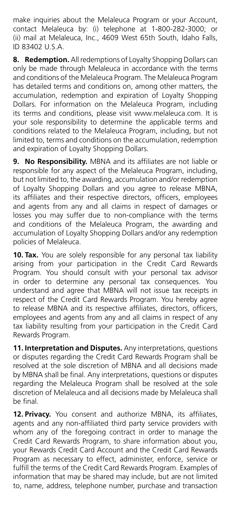make inquiries about the Melaleuca Program or your Account, contact Melaleuca by: (i) telephone at 1-800-282-3000; or (ii) mail at Melaleuca, Inc., 4609 West 65th South, Idaho Falls, ID 83402 U.S.A.

**8. Redemption.** All redemptions of Loyalty Shopping Dollars can only be made through Melaleuca in accordance with the terms and conditions of the Melaleuca Program. The Melaleuca Program has detailed terms and conditions on, among other matters, the accumulation, redemption and expiration of Loyalty Shopping Dollars. For information on the Melaleuca Program, including its terms and conditions, please visit [www.melaleuca.com.](https://www.melaleuca.com/) It is your sole responsibility to determine the applicable terms and conditions related to the Melaleuca Program, including, but not limited to, terms and conditions on the accumulation, redemption and expiration of Loyalty Shopping Dollars.

**9. No Responsibility.** MBNA and its affiliates are not liable or responsible for any aspect of the Melaleuca Program, including, but not limited to, the awarding, accumulation and/or redemption of Loyalty Shopping Dollars and you agree to release MBNA, its affiliates and their respective directors, officers, employees and agents from any and all claims in respect of damages or losses you may suffer due to non-compliance with the terms and conditions of the Melaleuca Program, the awarding and accumulation of Loyalty Shopping Dollars and/or any redemption policies of Melaleuca.

**10. Tax.** You are solely responsible for any personal tax liability arising from your participation in the Credit Card Rewards Program. You should consult with your personal tax advisor in order to determine any personal tax consequences. You understand and agree that MBNA will not issue tax receipts in respect of the Credit Card Rewards Program. You hereby agree to release MBNA and its respective affiliates, directors, officers, employees and agents from any and all claims in respect of any tax liability resulting from your participation in the Credit Card Rewards Program.

**11. Interpretation and Disputes.** Any interpretations, questions or disputes regarding the Credit Card Rewards Program shall be resolved at the sole discretion of MBNA and all decisions made by MBNA shall be final. Any interpretations, questions or disputes regarding the Melaleuca Program shall be resolved at the sole discretion of Melaleuca and all decisions made by Melaleuca shall be final.

**12. Privacy.** You consent and authorize MBNA, its affiliates, agents and any non-affiliated third party service providers with whom any of the foregoing contract in order to manage the Credit Card Rewards Program, to share information about you, your Rewards Credit Card Account and the Credit Card Rewards Program as necessary to effect, administer, enforce, service or fulfill the terms of the Credit Card Rewards Program. Examples of information that may be shared may include, but are not limited to, name, address, telephone number, purchase and transaction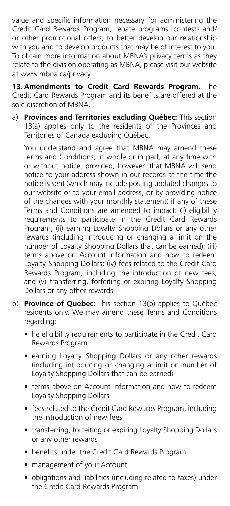value and specific information necessary for administering the Credit Card Rewards Program, rebate programs, contests and/ or other promotional offers, to better develop our relationship with you and to develop products that may be of interest to you. To obtain more information about MBNA's privacy terms as they relate to the division operating as MBNA, please visit our website at [www.mbna.ca/privacy.](https://www.mbna.ca/privacy/)

**13. Amendments to Credit Card Rewards Program.** The Credit Card Rewards Program and its benefits are offered at the sole discretion of MBNA.

a) **Provinces and Territories excluding Québec:** This section 13(a) applies only to the residents of the Provinces and Territories of Canada excluding Québec.

You understand and agree that MBNA may amend these Terms and Conditions, in whole or in part, at any time with or without notice, provided, however, that MBNA will send notice to your address shown in our records at the time the notice is sent (which may include posting updated changes to our website or to your email address, or by providing notice of the changes with your monthly statement) if any of these Terms and Conditions are amended to impact: (i) eligibility requirements to participate in the Credit Card Rewards Program; (ii) earning Loyalty Shopping Dollars or any other rewards (including introducing or changing a limit on the number of Loyalty Shopping Dollars that can be earned); (iii) terms above on Account Information and how to redeem Loyalty Shopping Dollars; (iv) fees related to the Credit Card Rewards Program, including the introduction of new fees; and (v) transferring, forfeiting or expiring Loyalty Shopping Dollars or any other rewards.

- b) **Province of Québec:** This section 13(b) applies to Québec residents only. We may amend these Terms and Conditions regarding:
	- he eligibility requirements to participate in the Credit Card Rewards Program
	- earning Loyalty Shopping Dollars or any other rewards (including introducing or changing a limit on number of Loyalty Shopping Dollars that can be earned)
	- terms above on Account Information and how to redeem Loyalty Shopping Dollars
	- fees related to the Credit Card Rewards Program, including the introduction of new fees
	- transferring, forfeiting or expiring Loyalty Shopping Dollars or any other rewards
	- benefits under the Credit Card Rewards Program
	- management of your Account
	- obligations and liabilities (including related to taxes) under the Credit Card Rewards Program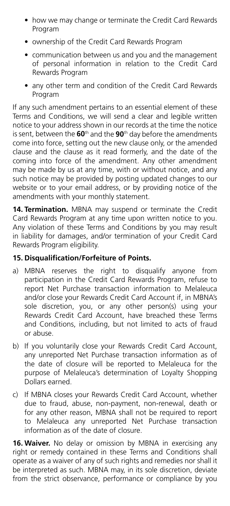- how we may change or terminate the Credit Card Rewards Program
- ownership of the Credit Card Rewards Program
- communication between us and you and the management of personal information in relation to the Credit Card Rewards Program
- any other term and condition of the Credit Card Rewards Program

If any such amendment pertains to an essential element of these Terms and Conditions, we will send a clear and legible written notice to your address shown in our records at the time the notice is sent, between the **60**th and the **90**th day before the amendments come into force, setting out the new clause only, or the amended clause and the clause as it read formerly, and the date of the coming into force of the amendment. Any other amendment may be made by us at any time, with or without notice, and any such notice may be provided by posting updated changes to our website or to your email address, or by providing notice of the amendments with your monthly statement.

**14. Termination.** MBNA may suspend or terminate the Credit Card Rewards Program at any time upon written notice to you. Any violation of these Terms and Conditions by you may result in liability for damages, and/or termination of your Credit Card Rewards Program eligibility.

## **15. Disqualification/Forfeiture of Points.**

- a) MBNA reserves the right to disqualify anyone from participation in the Credit Card Rewards Program, refuse to report Net Purchase transaction information to Melaleuca and/or close your Rewards Credit Card Account if, in MBNA's sole discretion, you, or any other person(s) using your Rewards Credit Card Account, have breached these Terms and Conditions, including, but not limited to acts of fraud or abuse.
- b) If you voluntarily close your Rewards Credit Card Account, any unreported Net Purchase transaction information as of the date of closure will be reported to Melaleuca for the purpose of Melaleuca's determination of Loyalty Shopping Dollars earned.
- c) If MBNA closes your Rewards Credit Card Account, whether due to fraud, abuse, non-payment, non-renewal, death or for any other reason, MBNA shall not be required to report to Melaleuca any unreported Net Purchase transaction information as of the date of closure.

**16. Waiver.** No delay or omission by MBNA in exercising any right or remedy contained in these Terms and Conditions shall operate as a waiver of any of such rights and remedies nor shall it be interpreted as such. MBNA may, in its sole discretion, deviate from the strict observance, performance or compliance by you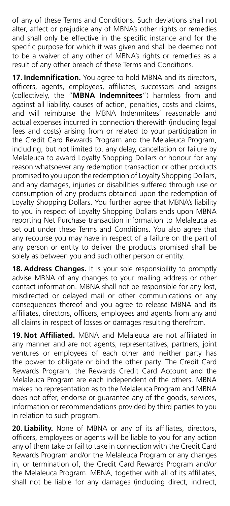of any of these Terms and Conditions. Such deviations shall not alter, affect or prejudice any of MBNA's other rights or remedies and shall only be effective in the specific instance and for the specific purpose for which it was given and shall be deemed not to be a waiver of any other of MBNA's rights or remedies as a result of any other breach of these Terms and Conditions.

**17. Indemnification.** You agree to hold MBNA and its directors, officers, agents, employees, affiliates, successors and assigns (collectively, the "**MBNA Indemnitees**") harmless from and against all liability, causes of action, penalties, costs and claims, and will reimburse the MBNA Indemnitees' reasonable and actual expenses incurred in connection therewith (including legal fees and costs) arising from or related to your participation in the Credit Card Rewards Program and the Melaleuca Program, including, but not limited to, any delay, cancellation or failure by Melaleuca to award Loyalty Shopping Dollars or honour for any reason whatsoever any redemption transaction or other products promised to you upon the redemption of Loyalty Shopping Dollars, and any damages, injuries or disabilities suffered through use or consumption of any products obtained upon the redemption of Loyalty Shopping Dollars. You further agree that MBNA's liability to you in respect of Loyalty Shopping Dollars ends upon MBNA reporting Net Purchase transaction information to Melaleuca as set out under these Terms and Conditions. You also agree that any recourse you may have in respect of a failure on the part of any person or entity to deliver the products promised shall be solely as between you and such other person or entity.

**18. Address Changes.** It is your sole responsibility to promptly advise MBNA of any changes to your mailing address or other contact information. MBNA shall not be responsible for any lost, misdirected or delayed mail or other communications or any consequences thereof and you agree to release MBNA and its affiliates, directors, officers, employees and agents from any and all claims in respect of losses or damages resulting therefrom.

**19. Not Affiliated.** MBNA and Melaleuca are not affiliated in any manner and are not agents, representatives, partners, joint ventures or employees of each other and neither party has the power to obligate or bind the other party. The Credit Card Rewards Program, the Rewards Credit Card Account and the Melaleuca Program are each independent of the others. MBNA makes no representation as to the Melaleuca Program and MBNA does not offer, endorse or guarantee any of the goods, services, information or recommendations provided by third parties to you in relation to such program.

**20. Liability.** None of MBNA or any of its affiliates, directors, officers, employees or agents will be liable to you for any action any of them take or fail to take in connection with the Credit Card Rewards Program and/or the Melaleuca Program or any changes in, or termination of, the Credit Card Rewards Program and/or the Melaleuca Program. MBNA, together with all of its affiliates, shall not be liable for any damages (including direct, indirect,